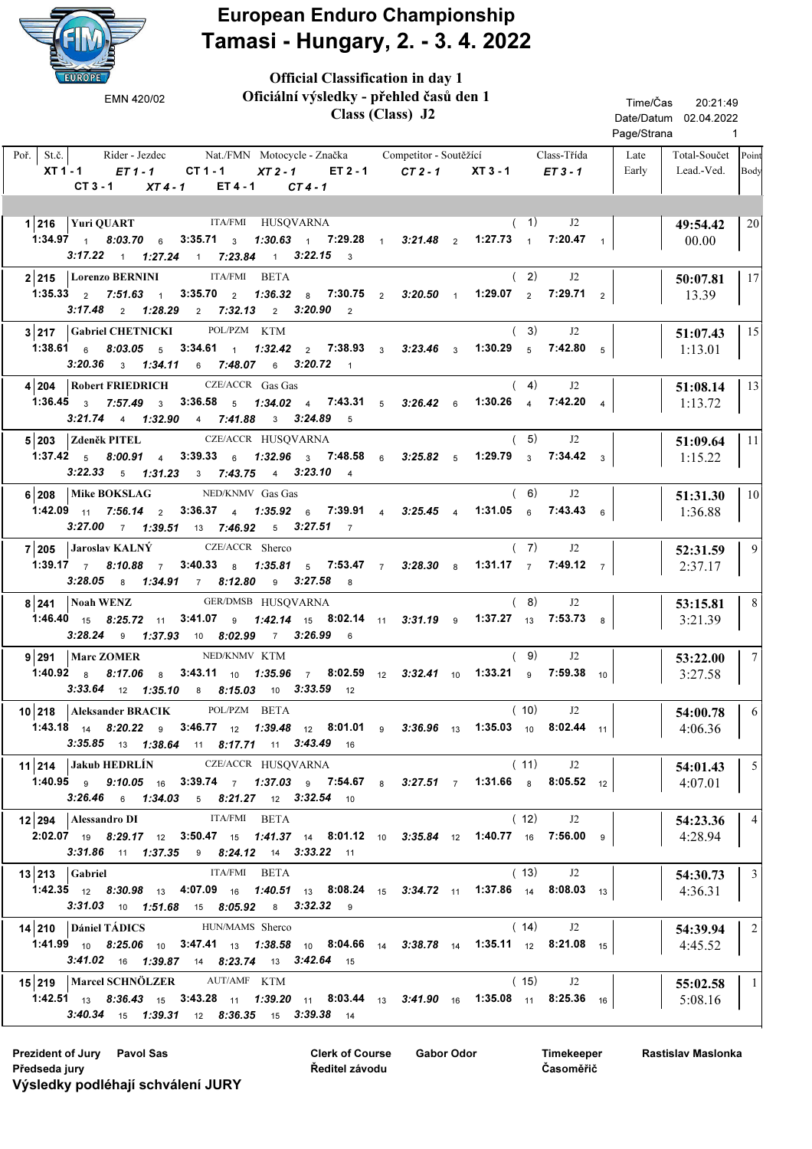

## European Enduro Championship Tamasi - Hungary, 2. - 3. 4. 2022

| EUROPE                                                                                                                                                                                                                               | <b>Official Classification in day 1</b>                                                                |          |  |                                             |  |                |  |                                               |                            |                 |  |
|--------------------------------------------------------------------------------------------------------------------------------------------------------------------------------------------------------------------------------------|--------------------------------------------------------------------------------------------------------|----------|--|---------------------------------------------|--|----------------|--|-----------------------------------------------|----------------------------|-----------------|--|
| Oficiální výsledky - přehled časů den 1<br>EMN 420/02<br>Class (Class) J2                                                                                                                                                            |                                                                                                        |          |  |                                             |  |                |  | Time/Čas<br>20:21:49<br>Date/Datum 02.04.2022 |                            |                 |  |
|                                                                                                                                                                                                                                      |                                                                                                        |          |  |                                             |  |                |  | Page/Strana                                   | $\sim$ 1                   |                 |  |
| Poř.   St.č.  <br>XT 1 - 1<br>$ET1 - 1$<br>$CT 1 - 1$                                                                                                                                                                                | Rider - Jezdec Mat./FMN Motocycle - Značka Competitor - Soutěžící Class-Třída<br>$XT2-1$<br>$ET 2 - 1$ | CT 2 - 1 |  | $XT3 - 1$                                   |  | $ET3-1$        |  | Late<br>Early                                 | Total-Součet<br>Lead.-Ved. | Point<br>Body   |  |
| $CT3 - 1$<br>$XT4-1$                                                                                                                                                                                                                 | ET 4 - 1<br>$CT4-1$                                                                                    |          |  |                                             |  |                |  |                                               |                            |                 |  |
|                                                                                                                                                                                                                                      |                                                                                                        |          |  |                                             |  |                |  |                                               |                            |                 |  |
| $1 216$ Yuri QUART                                                                                                                                                                                                                   | ITA/FMI HUSQVARNA                                                                                      |          |  | (1)                                         |  | J2             |  |                                               | 49:54.42                   | 20              |  |
| <b>1:34.97</b> 1 8:03.70 6<br>$3:17.22$ 1 $1:27.24$ 1 $7:23.84$ 1 $3:22.15$ 3                                                                                                                                                        | 3:35.71 3 1:30.63 1 7:29.28 1 3:21.48 2 1:27.73 1 7:20.47 1                                            |          |  |                                             |  |                |  |                                               | 00.00                      |                 |  |
| 2 215   Lorenzo BERNINI<br><b>ITA/FMI</b>                                                                                                                                                                                            | <b>BETA</b>                                                                                            |          |  | (2)                                         |  | J <sub>2</sub> |  |                                               | 50:07.81                   | 17              |  |
| 1:35.33 $2$ 7:51.63 $1$<br>$3:35.70$ 2<br>$3:17.48$ 2 1:28.29                                                                                                                                                                        | 1:36.32 8 7:30.75 2 3:20.50 1 1:29.07 2 7:29.71 2<br>2 7:32.13 2 3:20.90 2                             |          |  |                                             |  |                |  |                                               | 13.39                      |                 |  |
| $3 217$ Gabriel CHETNICKI                                                                                                                                                                                                            | POL/PZM KTM                                                                                            |          |  | (3)                                         |  | J2             |  |                                               | 51:07.43                   | 15              |  |
| 1:38.61 6 8:03.05 5 3:34.61 1 1:32.42 2 7:38.93 3 3:23.46 3                                                                                                                                                                          |                                                                                                        |          |  | $1:30.29$ 5                                 |  | $7:42.80$ 5    |  |                                               | 1:13.01                    |                 |  |
| 3:20.36 3 1:34.11 6 7:48.07 6 3:20.72 1                                                                                                                                                                                              |                                                                                                        |          |  |                                             |  |                |  |                                               |                            |                 |  |
| 4 204 Robert FRIEDRICH                                                                                                                                                                                                               | CZE/ACCR Gas Gas                                                                                       |          |  | (4)                                         |  | J2             |  |                                               | 51:08.14                   | 13              |  |
| 1:36.45 $3$ 7:57.49 $3$                                                                                                                                                                                                              | 3:36.58 $5$ 1:34.02 $4$ 7:43.31 $5$ 3:26.42 $6$                                                        |          |  | 1:30.26 $\frac{4}{1}$ 7:42.20 $\frac{4}{1}$ |  |                |  |                                               | 1:13.72                    |                 |  |
| $3:21.74$ 4 1:32.90<br>4 7:41.88                                                                                                                                                                                                     | 3 3:24.89 5                                                                                            |          |  |                                             |  |                |  |                                               |                            |                 |  |
| 5 203 Zdeněk PITEL                                                                                                                                                                                                                   | CZE/ACCR HUSQVARNA                                                                                     |          |  | (5)                                         |  | J <sub>2</sub> |  |                                               | 51:09.64                   | 11              |  |
| 1:37.42 $\frac{1}{5}$ 8:00.91 $\frac{1}{4}$ 3:39.33 $\frac{1}{6}$                                                                                                                                                                    | 1:32.96 $_3$ 7:48.58 $_6$ 3:25.82 $_5$ 1:29.79 $_3$                                                    |          |  |                                             |  | 7:34.42 $3$    |  |                                               | 1:15.22                    |                 |  |
| $3:22.33$ 5 $1:31.23$ 3 $7:43.75$ 4 $3:23.10$ 4                                                                                                                                                                                      |                                                                                                        |          |  |                                             |  |                |  |                                               |                            |                 |  |
| NED/KNMV Gas Gas<br>Mike BOKSLAG<br>6 208                                                                                                                                                                                            |                                                                                                        |          |  | (6)                                         |  | J2             |  |                                               | 51:31.30                   | 10              |  |
| 1:42.09 11 7:56.14 2 3:36.37 4 1:35.92 6 7:39.91 4 3:25.45 4                                                                                                                                                                         |                                                                                                        |          |  | 1:31.05 $6$ 7:43.43 $6$                     |  |                |  |                                               | 1:36.88                    |                 |  |
| 3:27.00 7 1:39.51 13 7:46.92 5 3:27.51 7                                                                                                                                                                                             |                                                                                                        |          |  |                                             |  |                |  |                                               |                            |                 |  |
| 7 205 Jaroslav KALNÝ                                                                                                                                                                                                                 | CZE/ACCR Sherco                                                                                        |          |  | (7)                                         |  | J2             |  |                                               | 52:31.59                   | 9               |  |
| 1:39.17 $\frac{7}{7}$ 8:10.88 $\frac{7}{7}$<br>$3:28.05$ 8 $1:34.91$ 7 8:12.80                                                                                                                                                       | 3:40.33 8 1:35.81 5 7:53.47 7 3:28.30 8<br>9 $3:27.58$ 8                                               |          |  | 1:31.17 $\frac{1}{7}$                       |  | 7:49.12 $7$    |  |                                               | 2:37.17                    |                 |  |
| Noah WENZ<br>8 241                                                                                                                                                                                                                   | GER/DMSB HUSQVARNA                                                                                     |          |  | (8)                                         |  | J <sub>2</sub> |  |                                               | 53:15.81                   | 8               |  |
| <b>1:46.40</b> <sub>15</sub> <b>8:25.72</b> <sub>11</sub> <b>3:41.07 9 1:42.14</b> <sub>15</sub> <b>8:02.14</b> <sub>11</sub> <b>3:31.19 9 1:37.27</b> <sub>13</sub> <b>7:53.73 8</b><br>9 1:37.93 10 8:02.99 7 3:26.99 6<br>3:28.24 |                                                                                                        |          |  |                                             |  |                |  |                                               | 3:21.39                    |                 |  |
| NED/KNMV KTM<br>$9 291$   Marc ZOMER                                                                                                                                                                                                 |                                                                                                        |          |  | (9)                                         |  | J2             |  |                                               | 53:22.00                   | $7\phantom{.0}$ |  |
| 1:40.92 8 8:17.06 8 3:43.11 10 1:35.96 7 8:02.59 12 3:32.41 10 1:33.21 9 7:59.38 10                                                                                                                                                  |                                                                                                        |          |  |                                             |  |                |  |                                               | 3:27.58                    |                 |  |
| <b>3:33.64</b> 12 <b>1:35.10</b> 8 <b>8:15.03</b> 10 <b>3:33.59</b> 12                                                                                                                                                               |                                                                                                        |          |  |                                             |  |                |  |                                               |                            |                 |  |
| 10 218 Aleksander BRACIK POLPZM BETA                                                                                                                                                                                                 |                                                                                                        |          |  | (10)                                        |  | J <sub>2</sub> |  |                                               | 54:00.78                   | 6               |  |
| <b>1:43.18</b> $_{14}$ 8:20.22 $_{9}$ 3:46.77 $_{12}$ 1:39.48 $_{12}$ 8:01.01 $_{9}$ 3:36.96 $_{13}$ 1:35.03 $_{10}$ 8:02.44 $_{11}$                                                                                                 |                                                                                                        |          |  |                                             |  |                |  |                                               | 4:06.36                    |                 |  |
| $3:35.85$ 13 $1:38.64$ 11 $8:17.71$ 11 $3:43.49$ 16                                                                                                                                                                                  |                                                                                                        |          |  |                                             |  |                |  |                                               |                            |                 |  |
| 11 214 Jakub HEDRLÍN CZE/ACCR HUSQVARNA                                                                                                                                                                                              |                                                                                                        |          |  | (11)                                        |  | J <sub>2</sub> |  |                                               | 54:01.43                   | 5 <sup>1</sup>  |  |
| 1:40.95 9 9:10.05 16 3:39.74 7 1:37.03 9 7:54.67 8 3:27.51 7 1:31.66 8 8:05.52 12                                                                                                                                                    |                                                                                                        |          |  |                                             |  |                |  |                                               | 4:07.01                    |                 |  |
| $3:26.46$ 6 $1:34.03$ 5 $8:21.27$ 12 $3:32.54$ 10                                                                                                                                                                                    |                                                                                                        |          |  |                                             |  |                |  |                                               |                            |                 |  |
| 12 294   Alessandro DI                                                                                                                                                                                                               | ITA/FMI BETA                                                                                           |          |  | (12)                                        |  | J2             |  |                                               | 54:23.36                   | $\overline{4}$  |  |
| <b>2:02.07</b> 19 8:29.17 12 3:50.47 15 1:41.37 14 8:01.12 10 3:35.84 12 1:40.77 16 7:56.00 9                                                                                                                                        |                                                                                                        |          |  |                                             |  |                |  |                                               | 4:28.94                    |                 |  |
| 3:31.86 11 1:37.35 9 8:24.12 14 3:33.22 11                                                                                                                                                                                           |                                                                                                        |          |  |                                             |  |                |  |                                               |                            |                 |  |
| $13 213 $ Gabriel                                                                                                                                                                                                                    | ITA/FMI BETA                                                                                           |          |  | (13)                                        |  | J <sub>2</sub> |  |                                               | 54:30.73                   | $\overline{3}$  |  |
| <b>1:42.35</b> $_{12}$ <b>8:30.98</b> $_{13}$ <b>4:07.09</b> $_{16}$ <b>1:40.51</b> $_{13}$ <b>8:08.24</b> $_{15}$ <b>3:34.72</b> $_{11}$ <b>1:37.86</b> $_{14}$ <b>8:08.03</b> $_{13}$<br>3:31.03 10 1:51.68 15 8:05.92 8 3:32.32 9 |                                                                                                        |          |  |                                             |  |                |  |                                               | 4:36.31                    |                 |  |
| 14 210 Dániel TÁDICS HUN/MAMS Sherco                                                                                                                                                                                                 |                                                                                                        |          |  | (14)                                        |  | J2             |  |                                               | 54:39.94                   | $\overline{2}$  |  |
| <b>1:41.99</b> <sub>10</sub> 8:25.06 <sub>10</sub> 3:47.41 <sub>13</sub> 1:38.58 <sub>10</sub> 8:04.66 <sub>14</sub> 3:38.78 <sub>14</sub> 1:35.11 <sub>12</sub> 8:21.08 <sub>15</sub>                                               |                                                                                                        |          |  |                                             |  |                |  |                                               | 4:45.52                    |                 |  |
| $3:41.02$ 16 $1:39.87$ 14 $8:23.74$ 13 $3:42.64$ 15                                                                                                                                                                                  |                                                                                                        |          |  |                                             |  |                |  |                                               |                            |                 |  |
| 15 219   Marcel SCHNÖLZER AUT/AMF KTM                                                                                                                                                                                                |                                                                                                        |          |  | (15)                                        |  | J <sub>2</sub> |  |                                               | 55:02.58                   | $\overline{1}$  |  |
| <b>1:42.51</b> 13 8:36.43 15 3:43.28 11 1:39.20 11 8:03.44 13 3:41.90 16 1:35.08 11 8:25.36 16                                                                                                                                       |                                                                                                        |          |  |                                             |  |                |  |                                               | 5:08.16                    |                 |  |
| 3:40.34 15 1:39.31 12 8:36.35 15 3:39.38 14                                                                                                                                                                                          |                                                                                                        |          |  |                                             |  |                |  |                                               |                            |                 |  |

Prezident of Jury Pavol Sas Gabor Odor Clerk of Course Gabor Odor Předseda jury Výsledky podléhají schválení JURY

Clerk of Course Ředitel závodu

Timekeeper Časoměřič

Rastislav Maslonka